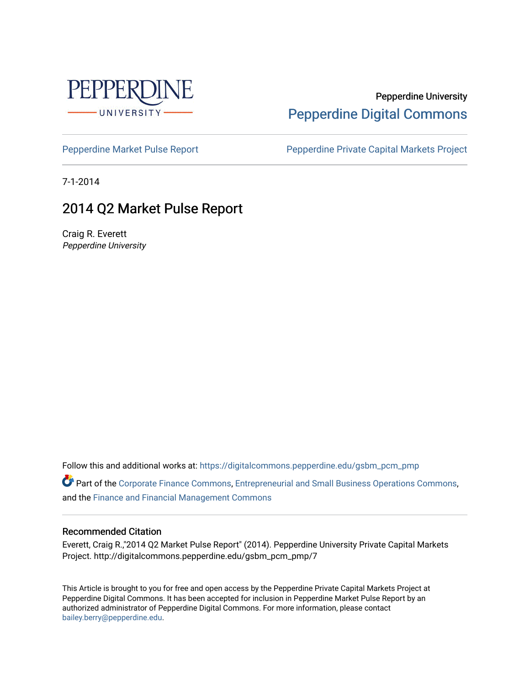

#### Pepperdine University [Pepperdine Digital Commons](https://digitalcommons.pepperdine.edu/)

[Pepperdine Market Pulse Report](https://digitalcommons.pepperdine.edu/gsbm_pcm_pmp) Pepperdine Private Capital Markets Project

7-1-2014

### 2014 Q2 Market Pulse Report

Craig R. Everett Pepperdine University

Follow this and additional works at: [https://digitalcommons.pepperdine.edu/gsbm\\_pcm\\_pmp](https://digitalcommons.pepperdine.edu/gsbm_pcm_pmp?utm_source=digitalcommons.pepperdine.edu%2Fgsbm_pcm_pmp%2F7&utm_medium=PDF&utm_campaign=PDFCoverPages) 

Part of the [Corporate Finance Commons](http://network.bepress.com/hgg/discipline/629?utm_source=digitalcommons.pepperdine.edu%2Fgsbm_pcm_pmp%2F7&utm_medium=PDF&utm_campaign=PDFCoverPages), [Entrepreneurial and Small Business Operations Commons](http://network.bepress.com/hgg/discipline/630?utm_source=digitalcommons.pepperdine.edu%2Fgsbm_pcm_pmp%2F7&utm_medium=PDF&utm_campaign=PDFCoverPages), and the [Finance and Financial Management Commons](http://network.bepress.com/hgg/discipline/631?utm_source=digitalcommons.pepperdine.edu%2Fgsbm_pcm_pmp%2F7&utm_medium=PDF&utm_campaign=PDFCoverPages) 

#### Recommended Citation

Everett, Craig R.,"2014 Q2 Market Pulse Report" (2014). Pepperdine University Private Capital Markets Project. http://digitalcommons.pepperdine.edu/gsbm\_pcm\_pmp/7

This Article is brought to you for free and open access by the Pepperdine Private Capital Markets Project at Pepperdine Digital Commons. It has been accepted for inclusion in Pepperdine Market Pulse Report by an authorized administrator of Pepperdine Digital Commons. For more information, please contact [bailey.berry@pepperdine.edu](mailto:bailey.berry@pepperdine.edu).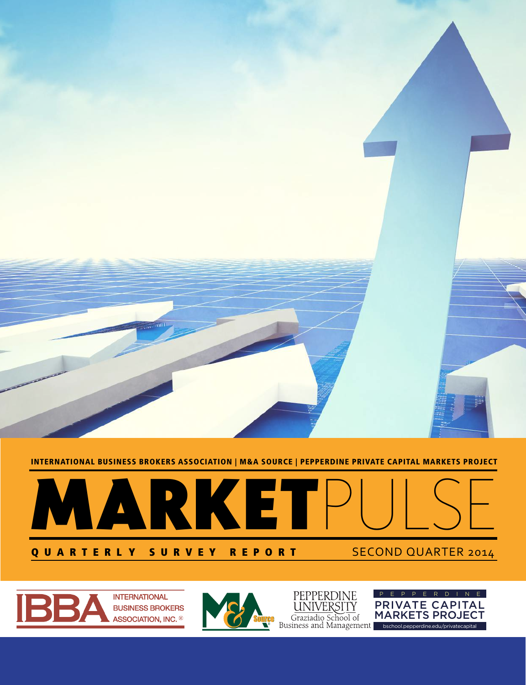

INTERNATIONAL BUSINESS BROKERS ASSOCIATION | M&A SOURCE | PEPPERDINE PRIVATE CAPITAL MARKETS PROJECT





**INTERNATIONAL BUSINESS BROKERS** ASSOCIATION, INC. <sup>®</sup>



PEPPERDINE<br><u>UNIVERSITY</u>

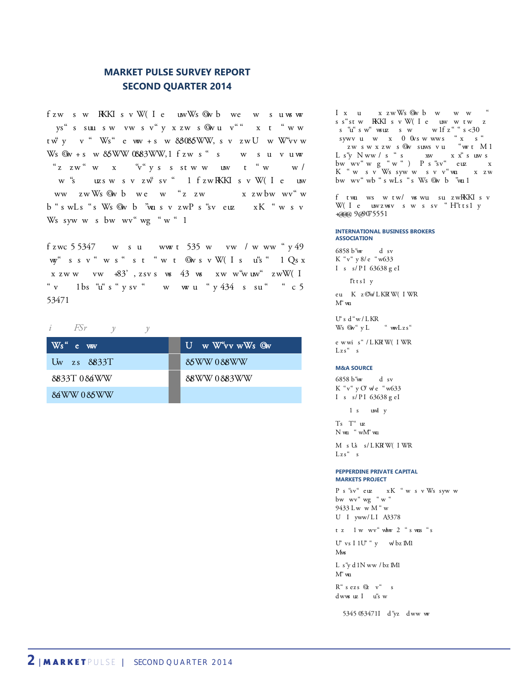#### **MARKET PULSE SURVEY REPORT SECOND QUARTER 2014**

fzw sw KKKI sv W (I e uw W s Ow b we w su ws w ys" s suu sw vw sv" y x zw s ©w u v"" x t "w w  $tw^w$  v  $w^w$  Ws e  $ww + s$  w  $88085$ WW, s v  $zw$ U w W v w Ws  $@v + s$  w  $&5WW$   $0&83WW, 1$  f zw s " s w survuw  $\int_{0}^{\infty}$  z w  $\int_{0}^{\infty}$  w  $\int_{0}^{\infty}$  valuable values of  $\int_{0}^{\infty}$  values over  $\int_{0}^{\infty}$  values over  $\int_{0}^{\infty}$  values of  $\int_{0}^{\infty}$  values of  $\int_{0}^{\infty}$  values of  $\int_{0}^{\infty}$  values of  $\int_{0}^{\infty}$  va w "surchasers" and the IBBA and The IBBA and MAG Source IBBA and MAG Source IBBA and MAG Source IBBA and MAG Source IBBA and MAG Source IBBA and MAG Source IBBA and MAG Source IBBA and MAG Source IBBA and MAG Source IBBA a ww zwWs Qwb we w "z zw x zwbw wv" w  $b$  " $s$  w $Ls$  " $s$  W $s$   $@v$   $b$   $@v$   $x$   $s$   $y$   $z$   $w$  $P$   $s$  " $s$   $y$   $e$   $uz$   $xK$  " $w$   $s$   $y$ Ws syw w s bw wv" wg "w" 1

 $f$ zwc 5 5347 wsuww t 535 w vw / www "y 49  $w^4$  ssv "ws" st "wt Gwsv W(Is  $u^4$  "  $1 Q_s x$  $x zww$  vw  $+83'$ ,  $z$ svs w  $43$  w  $xw$  w  $w$  at  $w$   $z$  w  $W(1)$ "v  $1bs$  "u" s "v sv "v w w "v 434 s su "c 5 53471

#### *i FSr y y*

| $Ws^{\alpha}$ e ww | U w W v w Ws Ow |
|--------------------|-----------------|
| Uw zs 8833T        | 85WW 088WW      |
| 8833T084WW         | 88WW0883WW      |
| 84WW 085WW         |                 |

I x u x zwWs Owb w w w ss"stw KKKI svW(Ie uwwtwz  $p$ s "u" sw" wsuz sww. This is  $\approx 30$  $\begin{array}{ccc} \text{sywv} & \text{u} & \text{w} & \text{x} & \text{0} & \text{0} \text{vs} & \text{w} & \text{wws} & \text{``x} & \text{s} \end{array}$ zwswxzws©wsuwsvu "wort M1 Ls"y Nww/s"s xw xx"suws bwwv"wg"w") Ps"sv" euz x K"w svWssyww svv"wu xzw bw wv" wb " s wLs " s Ws Qw b "wu 1

 $f$  two ws w tw/ ws wu su zw $R\bar{K}K$  sv W $($ I e uwzwsv s w s sv "H"ttsl y  $+$ aaa 9 $\omega$ 075551

#### **INTERNATIONAL BUSINESS BROKERS ASSOCIATION**

6858 b<sup>e</sup>w d sv  $K''v''$  y 8/e "w633  $I$  s  $s/PI$  63638 g eI

 $It is 1 y$ 

eu Kz**OWLKRW**(IWR  $M^{\alpha}$  wa

 $U^{\epsilon}$ s d $^{\alpha}$ w/LKR Ws  $\mathbb{Q}_V$ " y L "  $wwLzs$ "

e wwi s"/LKRW(IWR  $Lzs^{\alpha}$  s

#### **M&A SOURCE**

6858 b"w d sv  $K''v''yO'$  we "w633  $I$  s s/PI 63638 g eI

 $1 s$  uwl  $y$ 

 $Ts$   $T''$   $uz$  $N$ w<br/>u $\ ^{^{\prime\prime}}$ w<br/>M<br/>' $^{\prime\prime}$ wu

M s Us s/LKRW(IWR  $Lzs^{\alpha}$  s

#### **PEPPERDINE PRIVATE CAPITAL MARKETS PROJECT**

P s "sv" euz xK " w s v Ws syw w bw wv" wg "w" 9433 Lw w M "w  $U$  I yww/LI A3378

tz lwww"www2"swus"s

U<sup>e</sup> vs I 1U<sup>e</sup> <sup>a</sup> y v bz M1  $M_{\text{WS}}$ 

 $L\,$ s"y $d$ l<br/>N ww $/$ bz  $Ml$  $M^{\alpha}$  van

 $R^{\alpha}$  sezs  $Q$  v<sup>a</sup> s dwws uz I u's w

5345 053471I d"yz dww w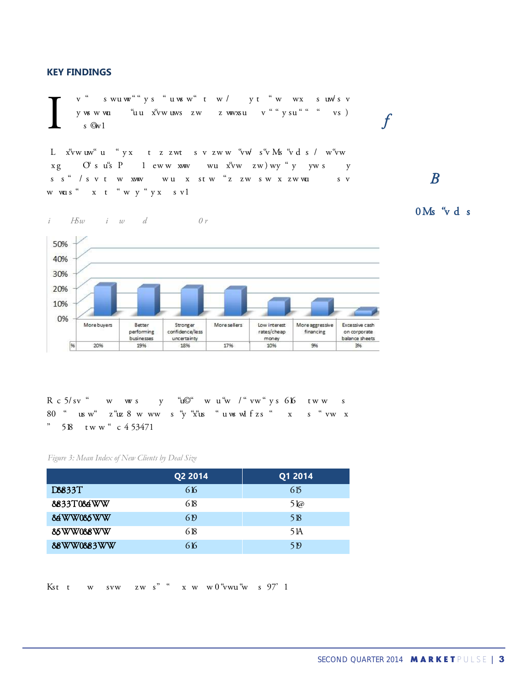#### **KEY FINDINGS**

v" swuw""ys"uwsw"tw/yt"w wx suwsv y ws w wu to the top tow the top to the top to the top to the top to the top to the top to the top to the top to the top to the top to the top to the top to the top to the top to the top to the top to the top to the top to s  $\mathbb{G}v1$ A *Confidence is coming from both* y www.financial y said of buy and the buy and the buy and the strong said of side is very said both the selling said of said and the sellers feel more confident to get a strong confident the strong confident the strong con

 $s \s^{\omega}$  /  $s \vee t \wedge w$  xww wux stw "z zw sw x zw wux sv w wus "x t "w y "y x s v 1



 $R c 5/sv$  w ws y "u $\mathbb{C}$ " w u"w / "vw" ys 616 tww s  $50$  " us w" z "uz  $8$  w ww s "y "x us " u ws wl f z s " x s " vw x " $58$  tww" c 453471

#### *Figure 3: Mean Index of New Clients by Deal Size*

 $\begin{array}{ccc} i & H \mathcal{E} w & i & w & d \end{array}$  *Or* 

|            | Q <sub>2</sub> 2014 | Q1 2014 |
|------------|---------------------|---------|
| D8833T     | 616                 | 615     |
| 8833T084WW | 618                 | 5 l@    |
| 84WW085WW  | 6 <sub>19</sub>     | 518     |
| 85WW088WW  | 618                 | 5 IA    |
| 88WW0883WW | 616                 | 5 P     |

Kst tww svw zws"  $x$  ww  $\frac{1}{2}$  at  $x$  www.

# **B**<br>0 Ms "v d s

*sell side.*

 $\int$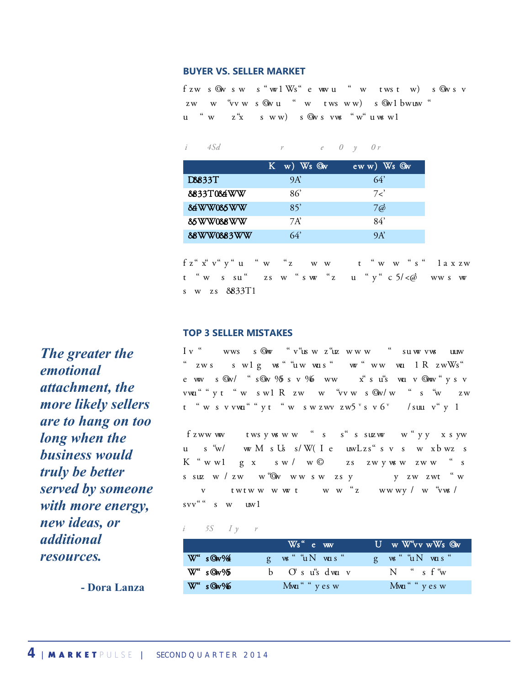#### **BUYER VS. SELLER MARKET**

fzw s@w sw s "wol Ws" e ww u " w twst w) s@w s v zw w "vw s Qwu " w tws ww) s Qwl bwuw " u "w z"x sww) s Qwsvws "w" uwswl

#### *Figure 4: Advisors Who View Market as a Buyer's or Seller's Market*

|            | $K$ w) Ws $Q_W$ | $eww)$ Ws $Qw$ |  |  |
|------------|-----------------|----------------|--|--|
| D8833T     | 9A'             | 64'            |  |  |
| 8833T084WW | 86              | 7<             |  |  |
| 84WW085WW  | 85'             | 7@             |  |  |
| 85WW088WW  | 7A'             | 84'            |  |  |
| 88WW0883WW | 64'             | 9A'            |  |  |

 $f z^{\alpha} x^{\alpha} y^{\alpha} y^{\alpha} u^{\alpha} w^{\alpha} z$  www t "ww"s "laxzw  $t$  "wssu" zsw "sw "z u "y" c  $5$ /< $\emptyset$  wwsw  $s$  w zs  $8833T1$ 

#### **TOP 3 SELLER MISTAKES**

Iv " wws sQw "v"usw z"uzwww " suwvws uuw "  $zws$  swlg ws "uw was "  $w$  " ww wa  $1 \text{ R } zwWs$ " eww sQw/ "sQw %5 sv % ww x"su"s wa v Qww "y sv vwu<br/>" v t " w s w l R zw w " v w s  $\circledast$  w <br/> " s " w zw  $t$  "wsvwu""yt "wswzwvzw5"sv $6^{\nu}$  /suu v"y 1

 $f$ zww ww tws y ws w w "s s"s suzww w "y y x s yw u s "w/ ww M s Us s/W(I e uwLzs" s v s w xb wz s  $K$  "wwl g x sw/ w $\heartsuit$  zs zwyww zww "s attachment, the more likely sellers are to hang when the more vector  $\mathbf x$  are to hang when the business are to hang when the business are to hang when the business are to hang when the business are to hang when the busi v twtwwwwt ww<sup>"</sup>z wwwy/w<sup>"</sup>with more energy, new ideas, or an interest with more energy, new ideas, or an interest or an interest or an interest or an interest or an interest or an interest or an interest or an interest or  $svv''$  s w  $uw1$ 

#### $\begin{array}{ccc} i & 5S & I \ y & r \end{array}$

|                             | $Ws$ " $e$ ww       | U w W <sup>e</sup> vy wWs Ow |
|-----------------------------|---------------------|------------------------------|
| $W^*$ s O $\sqrt{4}$        | $g$ ws " $uN$ was " | $g$ w " $uN$ w s "           |
| $W^{\prime\prime}$ sQ $w\%$ | b Oʻsu"sdwa v       | N "sf"w                      |
| $W^*$ s $\mathbb{Q}_V\%$    | Mwa " " y es w      | Mwu " " y es w               |

 *additional emotional attachment, the more likely sellers are to hang on too long when the business would truly be better served by someone with more energy, new ideas, or resources.*  $\frac{w^4 s}{w^4 s}$ **The greater the**<br>emotional

*The greater the* 

- Dora Lanza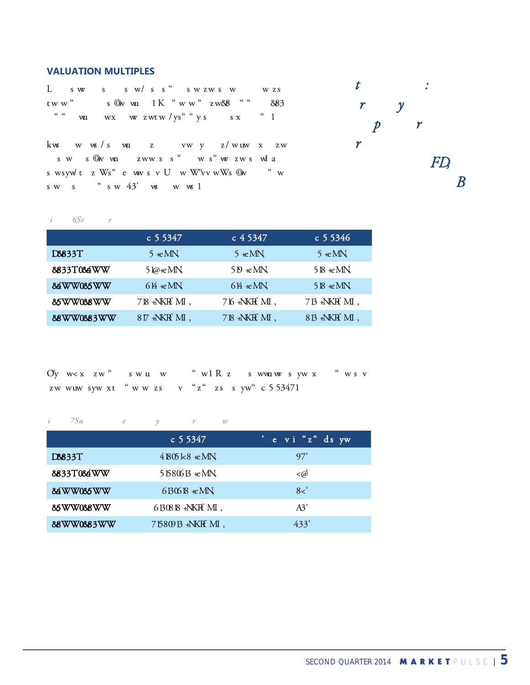#### **VALUATION MULTIPLES**

L sw s sw/ss" swzws w wzs tww" s @w wu  $1 \text{ K}$  "ww" zw& " "  $883$  $\frac{m}{m}$  will wx w zwtw/ys sx  $\frac{m}{m}$  in

kw www.sectors weakly would be a sector word for the sector sectors  $\frac{1}{2}$  weakly for the sector of the sector  $\frac{1}{2}$  weakly sector sectors weakly sectors a sector sector sectors show that sectors is a sector sector sw s©wwu zwwss" ws"wszwswla s wsyw t z  $Ws^{\alpha}$  e ww s v U w  $W^{\alpha}$ vv w $Ws$  Qw  $\qquad$  " w  $s \times s$   $s \times 43'$   $\infty$   $w \times 1$ 



#### *i* 6*Sr r*

|            | c 5 5 3 4 7                  | c 4 5 3 4 7               | $c$ 5 5 3 4 6    |
|------------|------------------------------|---------------------------|------------------|
| D8833T     | $5 \cdot$ еМ $N$             | $5 \cdot$ еМ $N$          | $5 \cdot$ еМ $N$ |
| 8833T084WW | 5 $\omega$ +е М $\mathcal N$ | $519 \text{ +} \text{MN}$ | $518 + e$ MN     |
| 84WW085WW  | $64 + e$ MN                  | $64 \text{ } \text{eMN}$  | $518 + e$ MN     |
| 85WW088WW  | 718 +NKR MI,                 | 716 +NKR MI,              | 7B +NKH MI,      |
| 88WW0883WW | $8\,\mathrm{V}$ +NKR MI,     | 718 +NKR MI,              | 813 +NKR MI,     |

 $\hbox{O\hspace{-.6em}V\hspace{-.4em}V} \quad w < x \quad z \, w \, \, \lq \, \lq \quad \ \ s \ \ w \, u \quad w \qquad \ \ \lq \, \lq \, w \, l \, \, R \, \, z \qquad \ \ s \ \ w \, w \, u \, w \quad \ \ s \ \ y \, w \, \, x \qquad \ \ \lq \, \lq \, w \, s \, \ v$ zw wuw syw xt "ww zs v "z" zs s yw"  $c$  5 53471

#### *i 7Su* e *y r* w

|            | $c$ 5 5 347         | e vi"z" ds yw                       |
|------------|---------------------|-------------------------------------|
| D8833T     | $4805k8$ $\star$ MN | 97'                                 |
| 8833T084WW | $51580613$ +eMN     | $\triangleleft \widehat{\! \varpi}$ |
| 84WW085WW  | $6B06B + cMN$       | 8<                                  |
| 85WW088WW  | 6B0818 +NKH MI,     | A3'                                 |
| 88WW0883WW | 75809B +NKR MI,     | 433'                                |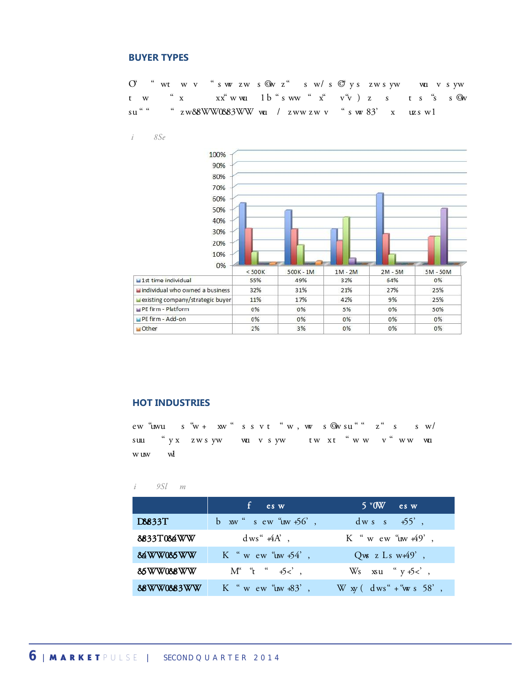#### **BUYER TYPES**

 $\mathrm{O}^\epsilon$  "wtwv"swszws Owz" sw $/\hspace{-2.9mm}$ s dominated the market this guarden largest or second largest or second largest or second largest or second largest or second largest or second largest or second largest or second **BUYER TYPES**<br>O<sup>o</sup> "wtwv "swyzws Qwz" sw/s C<sup>o</sup>lys zwsyw wa vsyw<br>tw "x xx"wwalb"sww "x" v"v) z s ts"s sQw<br>su"" "zw&8WW0&83WW wa/zwwzwv "swx83" x uzswl activity until the \$5MM-\$50MM sector, where they dominated 50% of purchases.

*Figure 8: Buyer Types*



#### **HOT INDUSTRIES**

 $\sum_{k=1}^{\infty}$  service comparison and  $\sum_{k=1}^{\infty}$  super market and  $\sum_{k=1}^{\infty}$  super market activity the math  $\sum_{k=1}^{\infty}$  super super super super super super super super super super super super super super super suu "yx zwsyw wu vsyw twxt "ww v"ww wu w uw wl

#### *i* 9*Sl m*

|            | $\mathbf{f}$ es w                 | $5$ °OW es w                    |
|------------|-----------------------------------|---------------------------------|
| D8833T     | $b$ xw s ew "uw $+56$ ",          | $dw s s + 55$ ,                 |
| 8833T084WW | $dws''$ +4A',                     | K "w ew " $uw 49$ ",            |
| 84WW085WW  | K "w ew "uw $+54$ ",              | $Q$ ws z Ls w $\overline{49}$ , |
| 85WW088WW  | $M^{\alpha}$ " $t^{\alpha}$ +5<', | Ws $xu \cdot y +5 < \infty$ ,   |
| 88WW0883WW | K "w ew " $uw + 83$ ",            | $W xy (dws'' + w s 58',$        |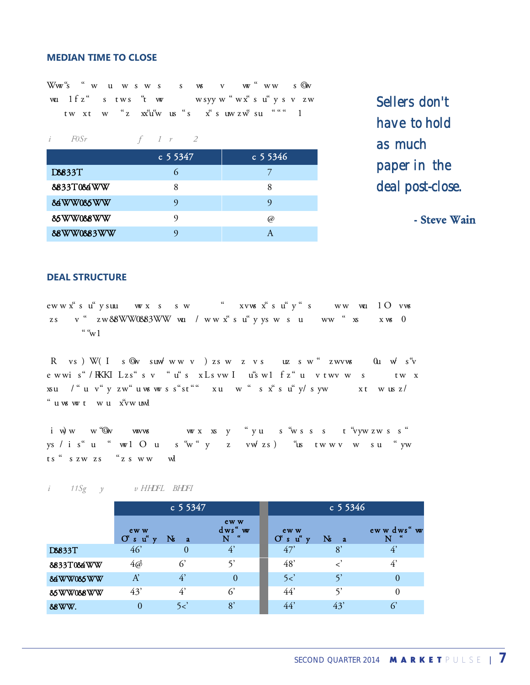#### **MEDIAN TIME TO CLOSE**

Wwa"s "wuwsws sws vw" www sQw volution. The attributed to more aggressive financial to more and the more comparation of the more aggressive financing and the contract of the more contract of the more contract of the more contract (in  $F0Sr$  of the more tw xt w "z  $x_1^{u}$ " us "s  $x_2^{u}$  suwzw" sufficient capital to finance the sufficient capacity sufficient capital to finance the sufficient capital to  $x_1^{u}$  acquisitions.

|            | $c$ 5 5 3 4 7 | $\,$ c 5 5346 |
|------------|---------------|---------------|
| D8833T     |               |               |
| 8833T084WW |               | 8             |
| 84WW085WW  |               |               |
| 85WW088WW  |               | @)            |
| 88WW0883WW |               |               |

**"** *Sellers don't have to hold as much paper in the deal post-close.*

**"** - Steve Wain

#### **DEAL STRUCTURE**

eww x su u w x s sw w x x su y suu deal for a small of deal financing in a small of the angle of deal financing in almost even a small of the angle of the small of the small of the small of the small of the small of the sm  $\sigma$  that sold in the sold in the sold in the sold in the sold in the sold in the sold in favor of earn-out in favor of earn-out in favor of earn-out in favor of earn-out in favor of earn-out in favor of earn-out in favor  $\sqrt{\frac{a}{w}}$ 

In today's M&A market place, seller don't have to hold as much paper in the deal post-close," said ewwis"/KKILzs"sv "u"s xLsvwI u"swl fz"u vtwvw s tw x  $f$ a increased availability of increases  $f$  in  $f$  in  $f$  in  $f$  is  $f$  buyer  $f$  buyer  $f$  buyer  $f$  buyer  $f$  buyer  $f$  buyer  $f$  buyer  $f$  buyer  $f$  buyer  $f$  buyer  $f$  buyer  $f$  buyer  $f$  buyer  $f$  buyer  $f$  buyer  $f$ "uwwt wu x'vwuwl

iw) we we'<sup>'</sup>Chv wwws wex xsy "yu s<sup>a</sup>wsss t<sup>a</sup>vyw zwss ys/is" u "walOus"w" y z vw/zs) "us twwv w su "yw ts "szw zs "zs ww wi

#### *i* 11*Sg y v HHDFL BHDFI*

|            | $c$ 5 5 3 4 7                             |                   | $c$ 5 5 3 4 6              |                                           |                      |                  |
|------------|-------------------------------------------|-------------------|----------------------------|-------------------------------------------|----------------------|------------------|
|            | ew w<br>$O^{\epsilon}$ s $u^{\epsilon}$ y | N<br>$\mathbf{a}$ | ew w<br>dws" w<br>-66<br>N | ew w<br>$O^{\epsilon}$ s $u^{\epsilon}$ y | $\mathbf{N}$<br>$-2$ | ew w dws" w<br>N |
| D8833T     | 46                                        | $\overline{0}$    | 4'                         | 47'                                       | 8'                   | 4'               |
| 8833T084WW | $4\vec{\omega}$                           | $6^{\circ}$       | 5'                         | 48'                                       |                      | $4^{\circ}$      |
| 84WW085WW  | A'                                        | 4'                | $\Omega$                   | 5 <                                       | $\varsigma$          | 0                |
| 85WW088WW  | 43'                                       | $4^{\circ}$       | 6'                         | 44'                                       | 5,                   |                  |
| 88WW.      | $\overline{0}$                            | 5 <               | 8'                         | 44'                                       | 43'                  | $6^{\circ}$      |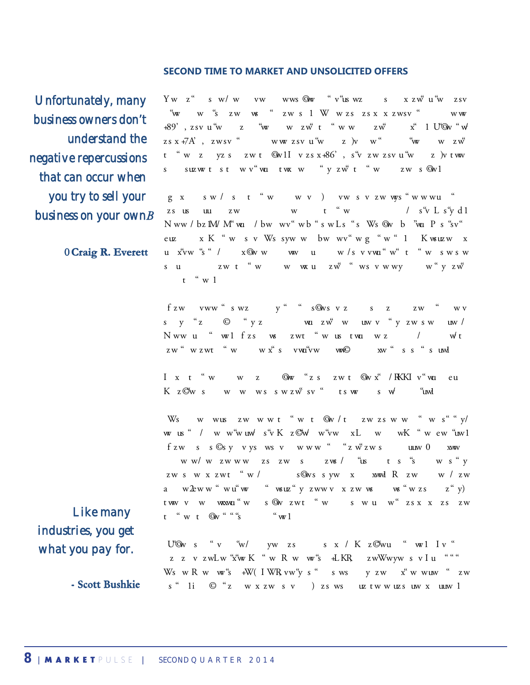#### **SECOND TIME TO MARKET AND UNSOLICITED OFFERS**

**"** *Unfortunately, many business owners don't understand the negative repercussions that can occur when you try to sell your* 

**- Craig R. Everett**

 $Yw$  z" s  $w/w$  vwwwwws  $\mathcal{Q}$  were the indicate to indicate to indicate to indicate to indicate to indicate to indicate to indicate to indicate to indicate to indicate to indicate to indicate to indicate to indicate to tried to sell via the sell win the sell with the selling with the past. More than the advisor to the advisor of the advisor of the advisor of the advisor of the advisor of the advisor of the advisor of the advisors of the  $(56.66)$ ,  $25y$  u who known their business who their who sells who sells who their business on the interval to sell the sells who sells are sells who sells are sells who sells who sells who sells who sells who sells who  $z\,s$  x +7A' ,  $\,$  z wsv $\,$   $\,$   $\,$   $\,$   $\,$  www z sv  $\,$  u  $\,$   $\,$  v  $\,$   $\,$   $\,$  v  $\,$   $\,$   $\,$  v  $\,$   $\,$   $\,$   $\,$  v  $\,$   $\,$  z  $\,$  v  $\,$   $\,$   $\,$  v  $\,$   $\,$   $\,$  v  $\,$   $\,$   $\,$  v  $\,$   $\,$  v  $\,$ t "w z yzs zwt QwlI vzsx+86', s"vzwzsvu"w z )vtww s suzwert stw v "wu tw w "y zw t "w zw s Qw 1 ESATII, EWSV WWESVUWEND WWWWWWEND<br>t "WE yzs zwt QVII vzsx+86', s"vzwzsvu"wEy Vtww<br>s suzwtstwv" wutwxwe "yzw" t "wEwsQvI<br>g x sw/s t "wEwsYzwwys" wwwu "<br>zs us uu zwEwt" wF wS" L s"ydl

**euz** x K " w s<br> **ett** u x'vw "s " / x that can occur when you try to sell you that can our sell you that can occur when you to sell you that can our same of your business on your sell you when you when you want to sell you want to sell your position of the sam Everett Start Capital Markets Projector, Projector, Projector, Projector, Projector, Projector, Projector, Projector, Projector, Projector, Projector, Projector, Projector, Projector, Projector, Projector, Projector, Proje u xvw "s " / x $@v w$  ww u w/svvvu "w" t "w swsw all common when when business owners in the selling of the selling of the selling their time and the selling the<br>common when when when when when the selling the selling their time and selling their time and selling the sel  $t \stackrel{\alpha}{\sim} w l$ **business on your own** *b*  $\frac{2s}{N}$  *business* on your own *b*  $\frac{2s}{N}$  *business* on your own *b*  $\frac{2s}{N}$  *business* on your own *b*  $\frac{2s}{N}$  *business* on your own *b*  $\frac{2s}{N}$  *business* on your own *b*  $\frac{2$ 

> f zw vww "swz y " "s@wsvz sz zw " wv along with not knowing how to protect their resources during the sale process," Nww u "  $w1$  fzs ws zwt " w us twi w z /  $wt$  $\mathbf{z} \le \mathbf{w}$  as the time the business over  $\mathbf{w} \le \mathbf{s}$  or  $\mathbf{w}$  as the set of  $\mathbf{w} \le \mathbf{s}$  or  $\mathbf{w}$

I x t "wwz Gw"zs zwt Gwx" / KKI v "wu eu Kz©ws wwwsswzw"sv" tsw sw' "uwl

Ws www.szwwwt "wt  $\mathcal{Q}_N / t$  zwzsww "ws" y/ education, or experience," said Bushkie, president of Cornerstone Business Services.  $fzw$  s  $s$   $\mathbb{G}s$  y  $vys$  ws  $v$  www " "z w<sup>"</sup>z ws uuw  $0$  xww ww/wzwwwzszws zws/ "us ts"s ws"y zws wxzwt "w/ s@ws syw x xwad R zw w/zw a w $2eww$  " $wu$  " $wu$ "  $wuz$  " $yzwwv$   $xzww$   $w$   $wzss$   $z$  " $y$ ) tww v w waxwu w s @w zwt "w s w u w " zs x x zs zw t "wt  $\mathbb{Q}_V$  " "" $S$  " "w1

**"***Like many industries, you get what you pay for.*

- Scott Bushkie

U'Ow s "v "w/ yw zs s x / K z $\mathfrak{G}$ wu " wl I v " z z v zwlw "x"w K " w R w w"s + LKR zwWwyw s v I u " " " WswRww"s+W (IWR vw"ys" swsyzw x"wwww" zw  $s$  "  $1$  i  $\odot$  "z w x zw s v ) zs ws uz tw w uzs uw x uuw 1 **E** E V EWEW A<br>
Ws w R w w<sup>e</sup>s<br> **kie** s " 1i © "z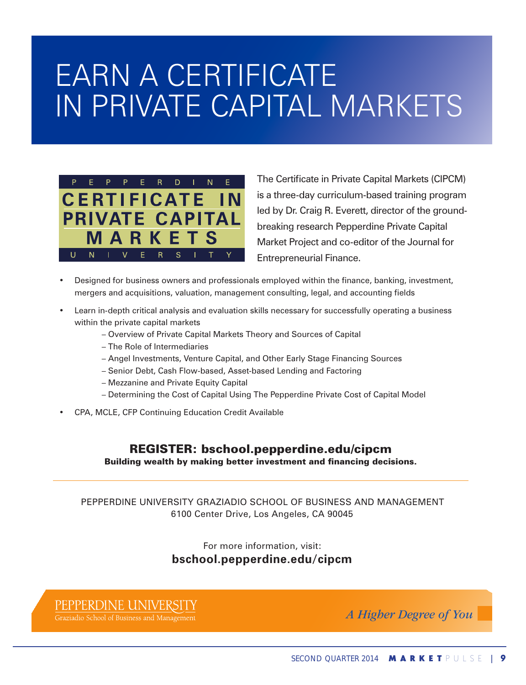## EARN A CERTIFICATE IN PRIVATE CAPITAL MARKETS



The Certificate in Private Capital Markets (CIPCM) is a three-day curriculum-based training program led by Dr. Craig R. Everett, director of the groundbreaking research Pepperdine Private Capital Market Project and co-editor of the Journal for Entrepreneurial Finance.

- Designed for business owners and professionals employed within the finance, banking, investment, mergers and acquisitions, valuation, management consulting, legal, and accounting fields
- Learn in-depth critical analysis and evaluation skills necessary for successfully operating a business within the private capital markets
	- Overview of Private Capital Markets Theory and Sources of Capital
	- The Role of Intermediaries
	- Angel Investments, Venture Capital, and Other Early Stage Financing Sources
	- Senior Debt, Cash Flow-based, Asset-based Lending and Factoring
	- Mezzanine and Private Equity Capital
	- Determining the Cost of Capital Using The Pepperdine Private Cost of Capital Model
- CPA, MCLE, CFP Continuing Education Credit Available

REGISTER: bschool.pepperdine.edu/cipcm Building wealth by making better investment and financing decisions.

PEPPERDInE UnIVERSITy GRAzIADIO SChOOL OF BUSInESS AnD MAnAGEMEnT 6100 Center Drive, Los Angeles, CA 90045

#### For more information, visit: **bschool.pepperdine.edu/cipcm**

#### PEPPERDINE UNIVER:

Graziadio School of Business and Management

*A Higher Degree of You*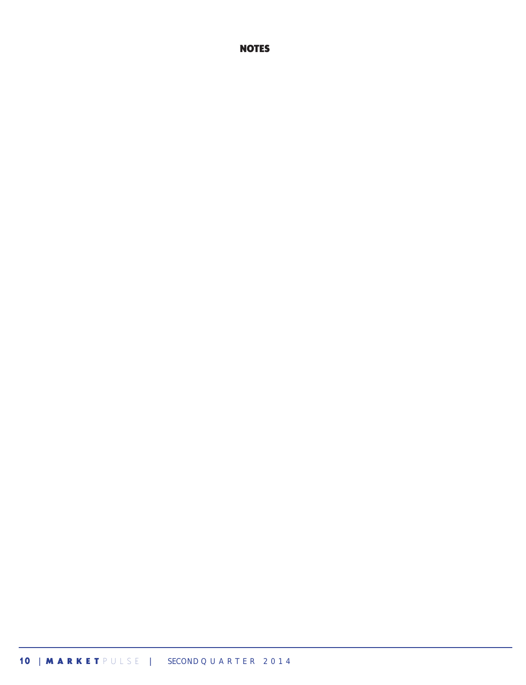#### **10** <sup>|</sup> M A R K E T P U L S E | SECOND Q U A R T E R 2 0 1 4

#### NOTES